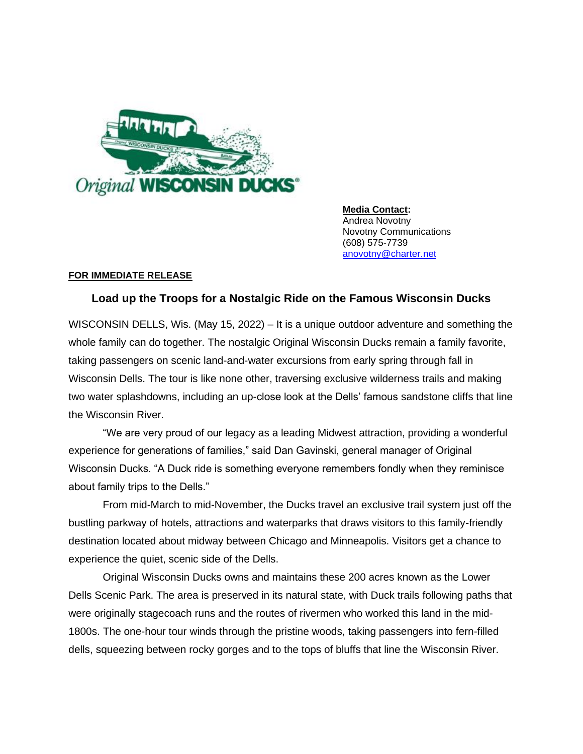

**Media Contact:** Andrea Novotny Novotny Communications (608) 575-7739 [anovotny@charter.net](mailto:anovotny@charter.net)

## **FOR IMMEDIATE RELEASE**

## **Load up the Troops for a Nostalgic Ride on the Famous Wisconsin Ducks**

WISCONSIN DELLS, Wis. (May 15, 2022) – It is a unique outdoor adventure and something the whole family can do together. The nostalgic Original Wisconsin Ducks remain a family favorite, taking passengers on scenic land-and-water excursions from early spring through fall in Wisconsin Dells. The tour is like none other, traversing exclusive wilderness trails and making two water splashdowns, including an up-close look at the Dells' famous sandstone cliffs that line the Wisconsin River.

"We are very proud of our legacy as a leading Midwest attraction, providing a wonderful experience for generations of families," said Dan Gavinski, general manager of Original Wisconsin Ducks. "A Duck ride is something everyone remembers fondly when they reminisce about family trips to the Dells."

From mid-March to mid-November, the Ducks travel an exclusive trail system just off the bustling parkway of hotels, attractions and waterparks that draws visitors to this family-friendly destination located about midway between Chicago and Minneapolis. Visitors get a chance to experience the quiet, scenic side of the Dells.

Original Wisconsin Ducks owns and maintains these 200 acres known as the Lower Dells Scenic Park. The area is preserved in its natural state, with Duck trails following paths that were originally stagecoach runs and the routes of rivermen who worked this land in the mid-1800s. The one-hour tour winds through the pristine woods, taking passengers into fern-filled dells, squeezing between rocky gorges and to the tops of bluffs that line the Wisconsin River.